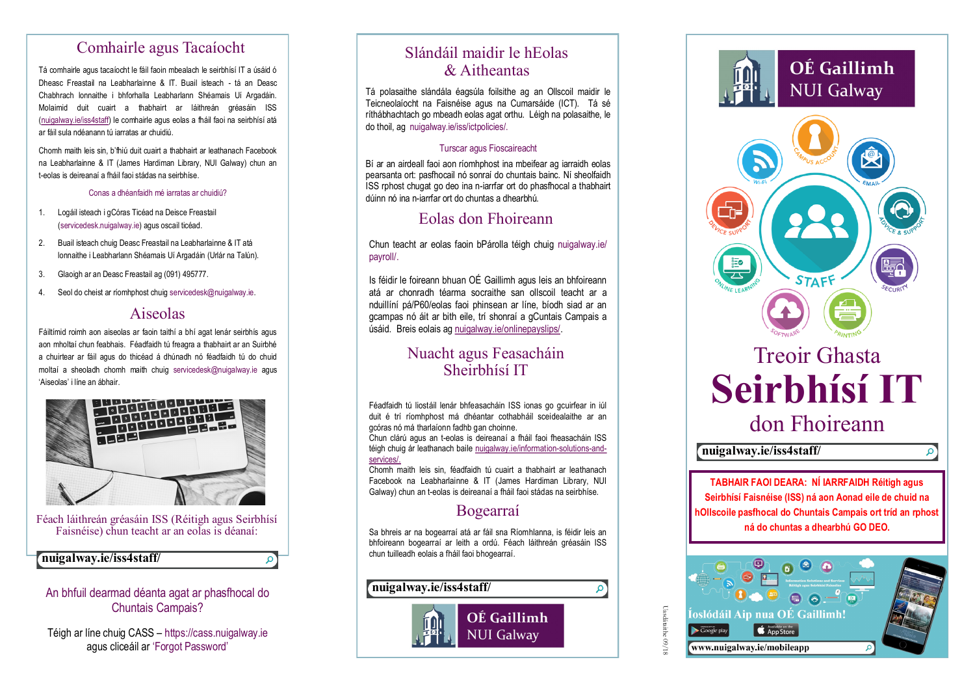## Comhairle agus Tacaíocht

Tá comhairle agus tacaíocht le fáil faoin mbealach le seirbhísí IT a úsáid ó Dheasc Freastail na Leabharlainne & IT. Buail isteach - tá an Deasc Chabhrach lonnaithe i bhforhalla Leabharlann Shéamais Uí Argadáin. Molaimid duit cuairt a thabhairt ar láithreán gréasáin ISS (nuigalway.ie/iss4staff) le comhairle agus eolas a fháil faoi na seirbhísí atá ar fáil sula ndéanann tú iarratas ar chuidiú.

Chomh maith leis sin, b'fhiú duit cuairt a thabhairt ar leathanach Facebook na Leabharlainne & IT (James Hardiman Library, NUI Galway) chun an t-eolas is deireanaí a fháil faoi stádas na seirbhíse.

Conas a dhéanfaidh mé iarratas ar chuidiú?

- 1. Logáil isteach i gCóras Ticéad na Deisce Freastail (servicedesk.nuigalway.ie) agus oscail ticéad.
- 2. Buail isteach chuig Deasc Freastail na Leabharlainne & IT atá lonnaithe i Leabharlann Shéamais Uí Argadáin (Urlár na Talún).
- 3. Glaoigh ar an Deasc Freastail ag (091) 495777.
- 4. Seol do cheist ar ríomhphost chuig servicedesk@nuigalway.ie.

## Aiseolas

Fáiltímid roimh aon aiseolas ar faoin taithí a bhí agat lenár seirbhís agus aon mholtaí chun feabhais. Féadfaidh tú freagra a thabhairt ar an Suirbhé a chuirtear ar fáil agus do thicéad á dhúnadh nó féadfaidh tú do chuid moltaí a sheoladh chomh maith chuig servicedesk@nuigalway.ie agus 'Aiseolas' i líne an ábhair.



Féach láithreán gréasáin ISS (Réitigh agus Seirbhísí Faisnéise) chun teacht ar an eolas is déanaí:

 $\Omega$ 

## **nuigalway.ie/iss4staff/**

### An bhfuil dearmad déanta agat ar phasfhocal do Chuntais Campais?

Téigh ar líne chuig CASS – <https://cass.nuigalway.ie> agus cliceáil ar 'Forgot Password'

# Slándáil maidir le hEolas & Aitheantas

Tá polasaithe slándála éagsúla foilsithe ag an Ollscoil maidir le Teicneolaíocht na Faisnéise agus na Cumarsáide (ICT). Tá sé ríthábhachtach go mbeadh eolas agat orthu. Léigh na polasaithe, le do thoil, ag nuigalway.ie/iss/ictpolicies/.

### Turscar agus Fioscaireacht

Bí ar an airdeall faoi aon ríomhphost ina mbeifear ag iarraidh eolas pearsanta ort: pasfhocail nó sonraí do chuntais bainc. Ní sheolfaidh ISS rphost chugat go deo ina n-iarrfar ort do phasfhocal a thabhairt dúinn nó ina n-iarrfar ort do chuntas a dhearbhú.

# Eolas don Fhoireann

Chun teacht ar eolas faoin bPárolla téigh chuig nuigalway.ie/ payroll/.

Is féidir le foireann bhuan OÉ Gaillimh agus leis an bhfoireann atá ar chonradh téarma socraithe san ollscoil teacht ar a nduillíní pá/P60/eolas faoi phinsean ar líne, bíodh siad ar an gcampas nó áit ar bith eile, trí shonraí a gCuntais Campais a úsáid. Breis eolais ag nuigalway.ie/onlinepayslips/.

## Nuacht agus Feasacháin Sheirbhísí IT

Féadfaidh tú liostáil lenár bhfeasacháin ISS ionas go gcuirfear in iúl duit é trí ríomhphost má dhéantar cothabháil sceidealaithe ar an gcóras nó má tharlaíonn fadhb gan choinne.

Chun clárú agus an t-eolas is deireanaí a fháil faoi fheasacháin ISS téigh chuig ár leathanach baile nuigalway.ie/information-solutions-andservices/

Chomh maith leis sin, féadfaidh tú cuairt a thabhairt ar leathanach Facebook na Leabharlainne & IT (James Hardiman Library, NUI Galway) chun an t-eolas is deireanaí a fháil faoi stádas na seirbhíse.

## Bogearraí

Sa bhreis ar na bogearraí atá ar fáil sna Ríomhlanna, is féidir leis an bhfoireann bogearraí ar leith a ordú. Féach láithreán gréasáin ISS chun tuilleadh eolais a fháil faoi bhogearraí.





**TABHAIR FAOI DEARA: NÍ IARRFAIDH Réitigh agus Seirbhísí Faisnéise (ISS) ná aon Aonad eile de chuid na hOllscoile pasfhocal do Chuntais Campais ort tríd an rphost ná do chuntas a dhearbhú GO DEO.**